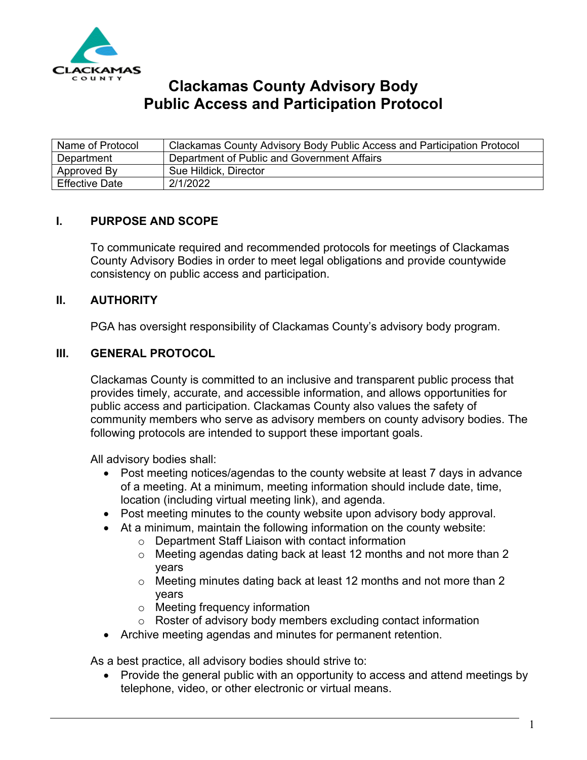

# **Clackamas County Advisory Body Public Access and Participation Protocol**

| Name of Protocol | Clackamas County Advisory Body Public Access and Participation Protocol |
|------------------|-------------------------------------------------------------------------|
| Department       | Department of Public and Government Affairs                             |
| Approved By      | Sue Hildick, Director                                                   |
| Effective Date   | 2/1/2022                                                                |

#### **I. PURPOSE AND SCOPE**

To communicate required and recommended protocols for meetings of Clackamas County Advisory Bodies in order to meet legal obligations and provide countywide consistency on public access and participation.

#### **II. AUTHORITY**

PGA has oversight responsibility of Clackamas County's advisory body program.

#### **III. GENERAL PROTOCOL**

Clackamas County is committed to an inclusive and transparent public process that provides timely, accurate, and accessible information, and allows opportunities for public access and participation. Clackamas County also values the safety of community members who serve as advisory members on county advisory bodies. The following protocols are intended to support these important goals.

All advisory bodies shall:

- Post meeting notices/agendas to the county website at least 7 days in advance of a meeting. At a minimum, meeting information should include date, time, location (including virtual meeting link), and agenda.
- Post meeting minutes to the county website upon advisory body approval.
- At a minimum, maintain the following information on the county website:
	- o Department Staff Liaison with contact information
	- o Meeting agendas dating back at least 12 months and not more than 2 years
	- o Meeting minutes dating back at least 12 months and not more than 2 years
	- o Meeting frequency information
	- $\circ$  Roster of advisory body members excluding contact information
- Archive meeting agendas and minutes for permanent retention.

As a best practice, all advisory bodies should strive to:

• Provide the general public with an opportunity to access and attend meetings by telephone, video, or other electronic or virtual means.